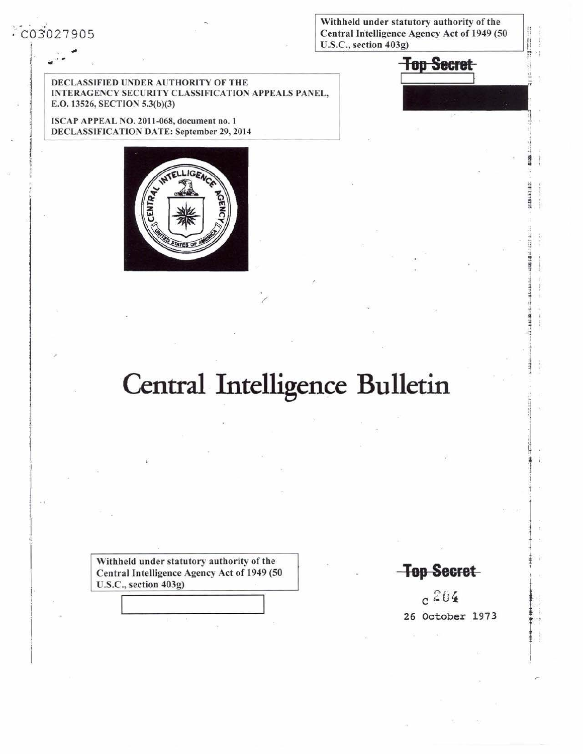Withheld under statutory authority of the Central Intelligence Agency Act of 1949 (50 U.S.C., section 403g)



DECLASSIFIED UNDER AUTHORITY OF THE INTERAGENCY SECURITY CLASSIFICATION APPEALS PANEL, E.O. 13526, SECTION 5.3(b)(3)

ISCAP APPEAL NO. 2011-068, document no. 1 DECLASSIFICATION DATE: September 29, 2014



## Central Intelligence Bulletin

Withheld under statutory authority of the Central Intelligence Agency Act of 1949 (50 U.S.C., section 403g)

**Top Secret** 

 $c^{204}$ 26 October 1973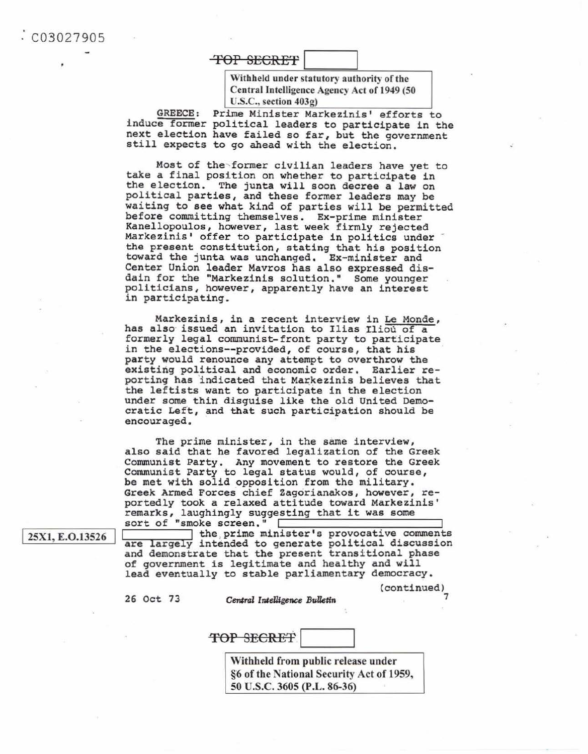C0 3 027905

## TOP SECRET I

Withheld under statutory authority of the Central Intelligence Agency Act of 1949 (50 U.S.C., section 403g)

GREECE: Prime Minister Markezinis' efforts to induce former political leaders to participate in the next election have failed so far, but the government still expects to go ahead with the election.

Most of the former civilian leaders have yet to take a final position on whether to participate in the election. The junta will soon decree a law on political parties, and these former leaders may be waiting to see what kind of parties will be permitted before committing themselves. Ex-prime minister Kanellopoulos, however, last week firmly rejected<br>Markezinis' offer to participate in politics under the present constitution, stating that his position<br>toward the junta was unchanged. Ex-minister and Center Union leader Mavros has also expressed disdain for the "Markezinis solution." Some younger politicians, however, apparently have an interest in participating.

Markezinis, in a recent interview in Le Monde, has also issued an invitation to Ilias Iliou of a formerly legal communist-front party to participate in the elections--provided, of course, that his party would renounce any attempt to overthrow the existing political and economic order. Earlier re porting has indicated that Markezinis believes that the leftists want to participate in the election under some thin disguise like the old United Demo cratic Left, and that such participation should be encouraged.

The prime minister, in the same interview, also said that he favored legalization of the Greek Communist Party. Any movement to restore the Greek Communist Party to legal status would, of course, be met with solid opposition from the military.<br>Greek Armed Forces chief Zagorianakos, however, re-<br>portedly took a relaxed attitude toward Markezinis' remarks, laughingly suggesting that it was some sort of "smoke screen."

25X1, E.O.13526

1 the prime minister's provocative comments are largely intended to generate political discussion and demonstrate that the present transitional phase of government is legitimate and healthy and will lead eventually to stable parliamentary democracy.

(continued)

7

26 Oct 73 Central Intelligence Bulletin

TOP SECRET

Withheld from public release under §6 of the National Security Act of 1959, 50 U.S.C. 3605 (P.L. 86-36)